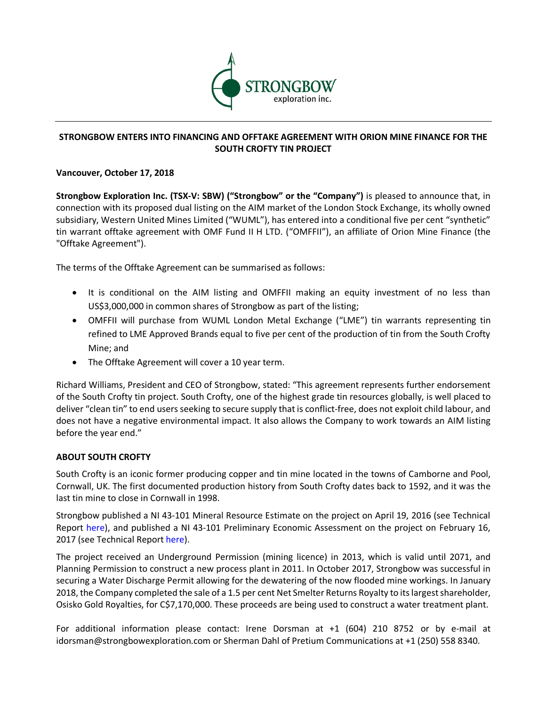

## **STRONGBOW ENTERS INTO FINANCING AND OFFTAKE AGREEMENT WITH ORION MINE FINANCE FOR THE SOUTH CROFTY TIN PROJECT**

## **Vancouver, October 17, 2018**

**Strongbow Exploration Inc. (TSX-V: SBW) ("Strongbow" or the "Company")** is pleased to announce that, in connection with its proposed dual listing on the AIM market of the London Stock Exchange, its wholly owned subsidiary, Western United Mines Limited ("WUML"), has entered into a conditional five per cent "synthetic" tin warrant offtake agreement with OMF Fund II H LTD. ("OMFFII"), an affiliate of Orion Mine Finance (the "Offtake Agreement").

The terms of the Offtake Agreement can be summarised as follows:

- It is conditional on the AIM listing and OMFFII making an equity investment of no less than US\$3,000,000 in common shares of Strongbow as part of the listing;
- OMFFII will purchase from WUML London Metal Exchange ("LME") tin warrants representing tin refined to LME Approved Brands equal to five per cent of the production of tin from the South Crofty Mine; and
- The Offtake Agreement will cover a 10 year term.

Richard Williams, President and CEO of Strongbow, stated: "This agreement represents further endorsement of the South Crofty tin project. South Crofty, one of the highest grade tin resources globally, is well placed to deliver "clean tin" to end users seeking to secure supply that is conflict-free, does not exploit child labour, and does not have a negative environmental impact. It also allows the Company to work towards an AIM listing before the year end."

## **ABOUT SOUTH CROFTY**

South Crofty is an iconic former producing copper and tin mine located in the towns of Camborne and Pool, Cornwall, UK. The first documented production history from South Crofty dates back to 1592, and it was the last tin mine to close in Cornwall in 1998.

Strongbow published a NI 43-101 Mineral Resource Estimate on the project on April 19, 2016 (see Technical Report here), and published a NI 43-101 Preliminary Economic Assessment on the project on February 16, 2017 (see Technical Report here).

The project received an Underground Permission (mining licence) in 2013, which is valid until 2071, and Planning Permission to construct a new process plant in 2011. In October 2017, Strongbow was successful in securing a Water Discharge Permit allowing for the dewatering of the now flooded mine workings. In January 2018, the Company completed the sale of a 1.5 per cent Net Smelter Returns Royalty to its largest shareholder, Osisko Gold Royalties, for C\$7,170,000. These proceeds are being used to construct a water treatment plant.

For additional information please contact: Irene Dorsman at +1 (604) 210 8752 or by e-mail at idorsman@strongbowexploration.com or Sherman Dahl of Pretium Communications at +1 (250) 558 8340.